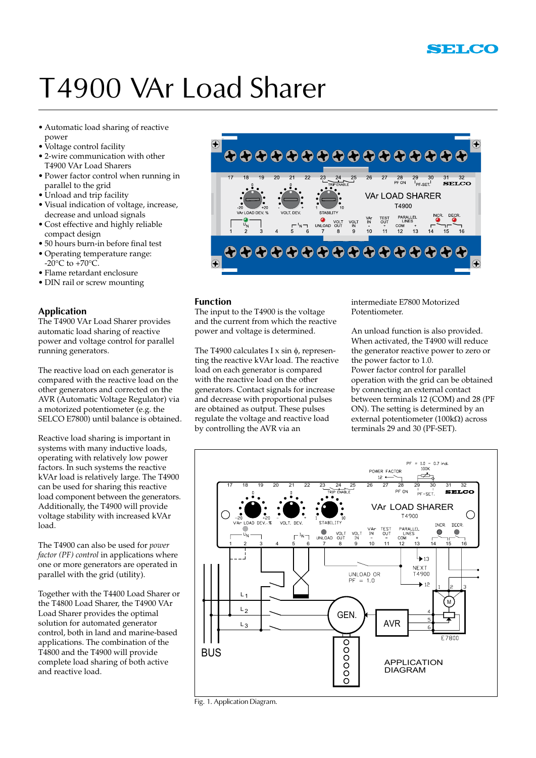## T4900 VAr Load Sharer

- • Automatic load sharing of reactive power
- Voltage control facility
- • 2-wire communication with other T4900 VAr Load Sharers
- • Power factor control when running in parallel to the grid
- Unload and trip facility
- • Visual indication of voltage, increase, decrease and unload signals
- • Cost effective and highly reliable compact design
- • 50 hours burn-in before final test
- • Operating temperature range:  $-20^{\circ}$ C to  $+70^{\circ}$ C.
- • Flame retardant enclosure
- DIN rail or screw mounting

#### **Application**

The T4900 VAr Load Sharer provides automatic load sharing of reactive power and voltage control for parallel running generators.

The reactive load on each generator is compared with the reactive load on the other generators and corrected on the AVR (Automatic Voltage Regulator) via a motorized potentiometer (e.g. the SELCO E7800) until balance is obtained.

Reactive load sharing is important in systems with many inductive loads, operating with relatively low power factors. In such systems the reactive kVAr load is relatively large. The T4900 can be used for sharing this reactive load component between the generators. Additionally, the T4900 will provide voltage stability with increased kVAr load.

The T4900 can also be used for *power factor (PF) control* in applications where one or more generators are operated in parallel with the grid (utility).

Together with the T4400 Load Sharer or the T4800 Load Sharer, the T4900 VAr Load Sharer provides the optimal solution for automated generator control, both in land and marine-based applications. The combination of the T4800 and the T4900 will provide complete load sharing of both active and reactive load.



#### **Function**

The input to the T4900 is the voltage and the current from which the reactive power and voltage is determined.

The T4900 calculates I  $x \sin \phi$ , representing the reactive kVAr load. The reactive load on each generator is compared with the reactive load on the other generators. Contact signals for increase and decrease with proportional pulses are obtained as output. These pulses regulate the voltage and reactive load by controlling the AVR via an

intermediate E7800 Motorized Potentiometer.

An unload function is also provided. When activated, the T4900 will reduce the generator reactive power to zero or the power factor to 1.0. Power factor control for parallel operation with the grid can be obtained by connecting an external contact between terminals 12 (COM) and 28 (PF ON). The setting is determined by an external potentiometer (100 $k\Omega$ ) across terminals 29 and 30 (PF-SET).

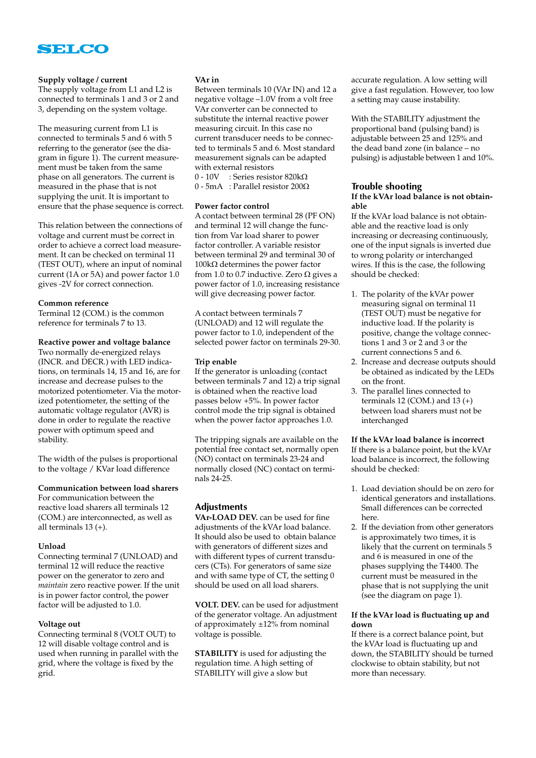

#### **Supply voltage / current**

The supply voltage from L1 and L2 is connected to terminals 1 and 3 or 2 and 3, depending on the system voltage.

The measuring current from L1 is connected to terminals 5 and 6 with 5 referring to the generator (see the diagram in figure 1). The current measurement must be taken from the same phase on all generators. The current is measured in the phase that is not supplying the unit. It is important to ensure that the phase sequence is correct.

This relation between the connections of voltage and current must be correct in order to achieve a correct load measurement. It can be checked on terminal 11 (TEST OUT), where an input of nominal current (1A or 5A) and power factor 1.0 gives -2V for correct connection.

#### **Common reference**

Terminal 12 (COM.) is the common reference for terminals 7 to 13.

**Reactive power and voltage balance** Two normally de-energized relays (INCR. and DECR.) with LED indications, on terminals 14, 15 and 16, are for increase and decrease pulses to the motorized potentiometer. Via the motorized potentiometer, the setting of the automatic voltage regulator (AVR) is done in order to regulate the reactive power with optimum speed and

The width of the pulses is proportional to the voltage / KVar load difference

#### **Communication between load sharers**

For communication between the reactive load sharers all terminals 12 (COM.) are interconnected, as well as all terminals 13 (+).

#### **Unload**

stability.

Connecting terminal 7 (UNLOAD) and terminal 12 will reduce the reactive power on the generator to zero and *maintain* zero reactive power. If the unit is in power factor control, the power factor will be adjusted to 1.0.

#### **Voltage out**

Connecting terminal 8 (VOLT OUT) to 12 will disable voltage control and is used when running in parallel with the grid, where the voltage is fixed by the grid.

#### **VAr in**

Between terminals 10 (VAr IN) and 12 a negative voltage –1.0V from a volt free VAr converter can be connected to substitute the internal reactive power measuring circuit. In this case no current transducer needs to be connected to terminals 5 and 6. Most standard measurement signals can be adapted with external resistors

0 - 10V : Series resistor 820 $k\Omega$ 

 $0$  - 5mA : Parallel resistor 200 $\Omega$ 

#### **Power factor control**

A contact between terminal 28 (PF ON) and terminal 12 will change the function from Var load sharer to power factor controller. A variable resistor between terminal 29 and terminal 30 of  $100k\Omega$  determines the power factor from 1.0 to 0.7 inductive. Zero  $\Omega$  gives a power factor of 1.0, increasing resistance will give decreasing power factor.

A contact between terminals 7 (UNLOAD) and 12 will regulate the power factor to 1.0, independent of the selected power factor on terminals 29-30.

#### **Trip enable**

If the generator is unloading (contact between terminals 7 and 12) a trip signal is obtained when the reactive load passes below +5%. In power factor control mode the trip signal is obtained when the power factor approaches 1.0.

The tripping signals are available on the potential free contact set, normally open (NO) contact on terminals 23-24 and normally closed (NC) contact on terminals 24-25.

#### **Adjustments**

**VAr-LOAD DEV.** can be used for fine adjustments of the kVAr load balance. It should also be used to obtain balance with generators of different sizes and with different types of current transducers (CTs). For generators of same size and with same type of CT, the setting 0 should be used on all load sharers.

**VOLT. DEV.** can be used for adjustment of the generator voltage. An adjustment of approximately ±12% from nominal voltage is possible.

**STABILITY** is used for adjusting the regulation time. A high setting of STABILITY will give a slow but

accurate regulation. A low setting will give a fast regulation. However, too low a setting may cause instability.

With the STABILITY adjustment the proportional band (pulsing band) is adjustable between 25 and 125% and the dead band zone (in balance – no pulsing) is adjustable between 1 and 10%.

#### **Trouble shooting**

#### **If the kVAr load balance is not obtainable**

If the kVAr load balance is not obtainable and the reactive load is only increasing or decreasing continuously, one of the input signals is inverted due to wrong polarity or interchanged wires. If this is the case, the following should be checked:

- 1. The polarity of the kVAr power measuring signal on terminal 11 (TEST OUT) must be negative for inductive load. If the polarity is positive, change the voltage connections 1 and 3 or 2 and 3 or the current connections 5 and 6.
- 2. Increase and decrease outputs should be obtained as indicated by the LEDs on the front.
- 3. The parallel lines connected to terminals 12 (COM.) and 13  $(+)$ between load sharers must not be interchanged

**If the kVAr load balance is incorrect** If there is a balance point, but the kVAr load balance is incorrect, the following should be checked:

- 1. Load deviation should be on zero for identical generators and installations. Small differences can be corrected here.
- 2. If the deviation from other generators is approximately two times, it is likely that the current on terminals 5 and 6 is measured in one of the phases supplying the T4400. The current must be measured in the phase that is not supplying the unit (see the diagram on page 1).

#### **If the kVAr load is fluctuating up and down**

If there is a correct balance point, but the kVAr load is fluctuating up and down, the STABILITY should be turned clockwise to obtain stability, but not more than necessary.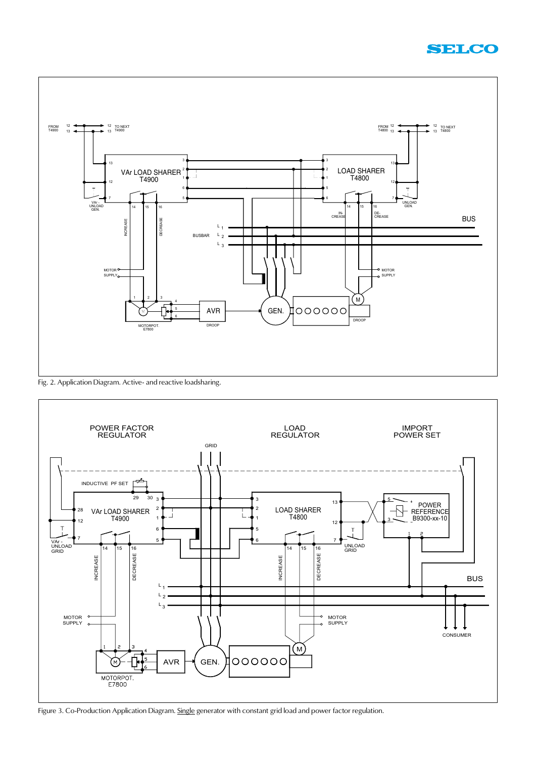



Fig. 2. Application Diagram. Active- and reactive loadsharing.



Figure 3. Co-Production Application Diagram. Single generator with constant grid load and power factor regulation.